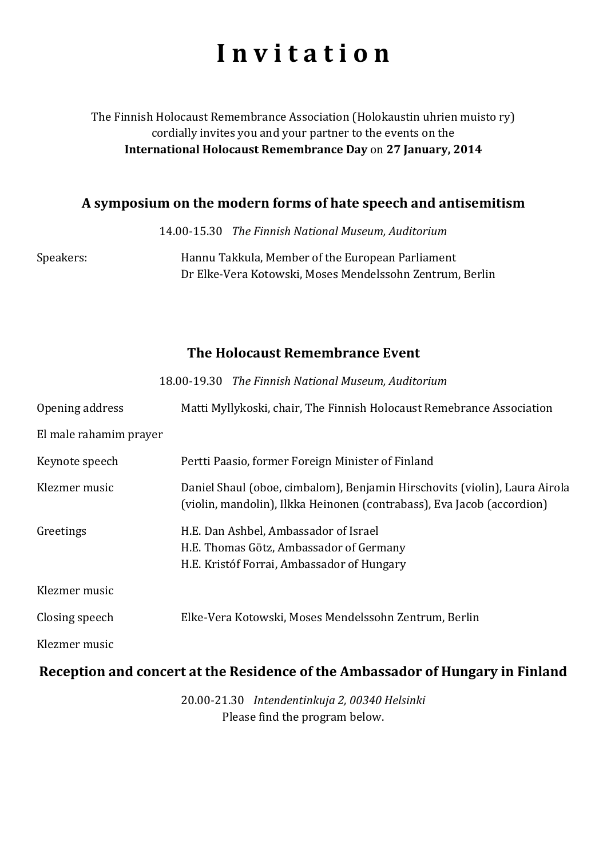# **I n v i t a t i o n**

#### The Finnish Holocaust Remembrance Association (Holokaustin uhrien muisto ry) cordially invites you and your partner to the events on the **International Holocaust Remembrance Day** on **27 January, 2014**

#### **A symposium on the modern forms of hate speech and antisemitism**

14.00-15.30 *The Finnish National Museum, Auditorium*

Speakers: Hannu Takkula, Member of the European Parliament Dr Elke-Vera Kotowski, Moses Mendelssohn Zentrum, Berlin

### **The Holocaust Remembrance Event**

|                        | 18.00-19.30 The Finnish National Museum, Auditorium                                                                                                  |
|------------------------|------------------------------------------------------------------------------------------------------------------------------------------------------|
| Opening address        | Matti Myllykoski, chair, The Finnish Holocaust Remebrance Association                                                                                |
| El male rahamim prayer |                                                                                                                                                      |
| Keynote speech         | Pertti Paasio, former Foreign Minister of Finland                                                                                                    |
| Klezmer music          | Daniel Shaul (oboe, cimbalom), Benjamin Hirschovits (violin), Laura Airola<br>(violin, mandolin), Ilkka Heinonen (contrabass), Eva Jacob (accordion) |
| Greetings              | H.E. Dan Ashbel, Ambassador of Israel<br>H.E. Thomas Götz, Ambassador of Germany<br>H.E. Kristóf Forrai, Ambassador of Hungary                       |
| Klezmer music          |                                                                                                                                                      |
| Closing speech         | Elke-Vera Kotowski, Moses Mendelssohn Zentrum, Berlin                                                                                                |
| Klezmer music          |                                                                                                                                                      |

#### **Reception and concert at the Residence of the Ambassador of Hungary in Finland**

20.00-21.30 *Intendentinkuja 2, 00340 Helsinki* Please find the program below.